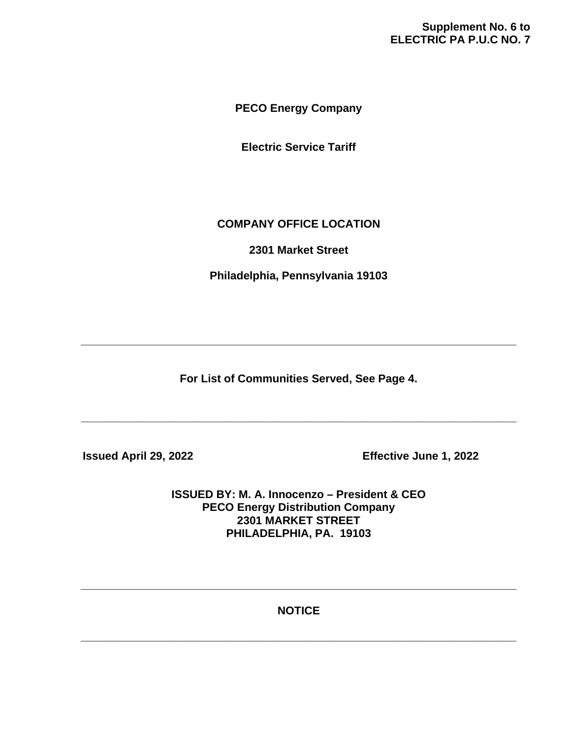# **Supplement No. 6 to ELECTRIC PA P.U.C NO. 7**

**PECO Energy Company**

**Electric Service Tariff**

# **COMPANY OFFICE LOCATION**

**2301 Market Street**

**Philadelphia, Pennsylvania 19103**

**For List of Communities Served, See Page 4.**

**\_\_\_\_\_\_\_\_\_\_\_\_\_\_\_\_\_\_\_\_\_\_\_\_\_\_\_\_\_\_\_\_\_\_\_\_\_\_\_\_\_\_\_\_\_\_\_\_\_\_\_\_\_\_\_\_\_\_\_\_\_\_\_\_\_\_\_\_\_\_**

**\_\_\_\_\_\_\_\_\_\_\_\_\_\_\_\_\_\_\_\_\_\_\_\_\_\_\_\_\_\_\_\_\_\_\_\_\_\_\_\_\_\_\_\_\_\_\_\_\_\_\_\_\_\_\_\_\_\_\_\_\_\_\_\_\_\_\_\_\_\_**

 **Issued April 29, 2022 Effective June 1, 2022**

**ISSUED BY: M. A. Innocenzo – President & CEO PECO Energy Distribution Company 2301 MARKET STREET PHILADELPHIA, PA. 19103**

**NOTICE**

**\_\_\_\_\_\_\_\_\_\_\_\_\_\_\_\_\_\_\_\_\_\_\_\_\_\_\_\_\_\_\_\_\_\_\_\_\_\_\_\_\_\_\_\_\_\_\_\_\_\_\_\_\_\_\_\_\_\_\_\_\_\_\_\_\_\_\_\_\_\_**

**\_\_\_\_\_\_\_\_\_\_\_\_\_\_\_\_\_\_\_\_\_\_\_\_\_\_\_\_\_\_\_\_\_\_\_\_\_\_\_\_\_\_\_\_\_\_\_\_\_\_\_\_\_\_\_\_\_\_\_\_\_\_\_\_\_\_\_\_\_\_**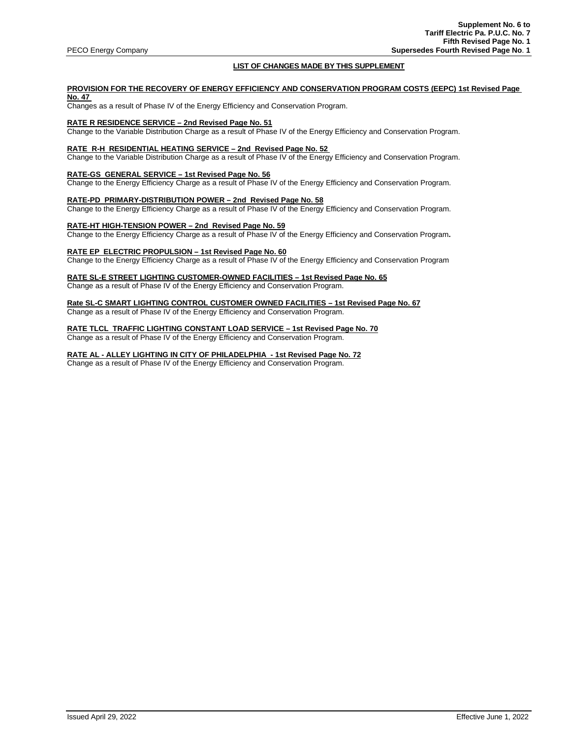## **LIST OF CHANGES MADE BY THIS SUPPLEMENT**

## **PROVISION FOR THE RECOVERY OF ENERGY EFFICIENCY AND CONSERVATION PROGRAM COSTS (EEPC) 1st Revised Page No. 47**

Changes as a result of Phase IV of the Energy Efficiency and Conservation Program.

## **RATE R RESIDENCE SERVICE – 2nd Revised Page No. 51**

Change to the Variable Distribution Charge as a result of Phase IV of the Energy Efficiency and Conservation Program.

## **RATE R-H RESIDENTIAL HEATING SERVICE – 2nd Revised Page No. 52**

Change to the Variable Distribution Charge as a result of Phase IV of the Energy Efficiency and Conservation Program.

#### **RATE-GS GENERAL SERVICE – 1st Revised Page No. 56**

Change to the Energy Efficiency Charge as a result of Phase IV of the Energy Efficiency and Conservation Program.

## **RATE-PD PRIMARY-DISTRIBUTION POWER – 2nd Revised Page No. 58**

Change to the Energy Efficiency Charge as a result of Phase IV of the Energy Efficiency and Conservation Program.

#### **RATE-HT HIGH-TENSION POWER – 2nd Revised Page No. 59**

Change to the Energy Efficiency Charge as a result of Phase IV of the Energy Efficiency and Conservation Program**.** 

## **RATE EP ELECTRIC PROPULSION – 1st Revised Page No. 60**

Change to the Energy Efficiency Charge as a result of Phase IV of the Energy Efficiency and Conservation Program

## **RATE SL-E STREET LIGHTING CUSTOMER-OWNED FACILITIES – 1st Revised Page No. 65**

Change as a result of Phase IV of the Energy Efficiency and Conservation Program.

## **Rate SL-C SMART LIGHTING CONTROL CUSTOMER OWNED FACILITIES – 1st Revised Page No. 67**

Change as a result of Phase IV of the Energy Efficiency and Conservation Program.

## **RATE TLCL TRAFFIC LIGHTING CONSTANT LOAD SERVICE – 1st Revised Page No. 70**

Change as a result of Phase IV of the Energy Efficiency and Conservation Program.

## **RATE AL - ALLEY LIGHTING IN CITY OF PHILADELPHIA - 1st Revised Page No. 72**

Change as a result of Phase IV of the Energy Efficiency and Conservation Program.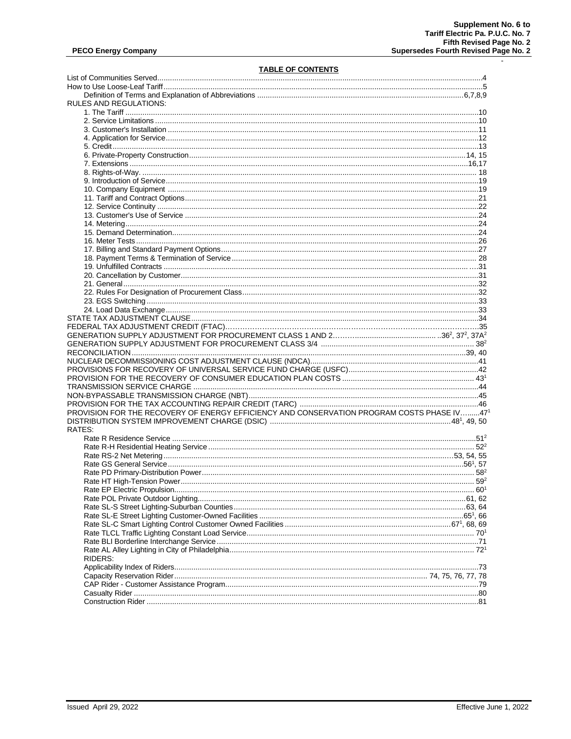$\mathbf{r}$ 

# **TABLE OF CONTENTS**

| RULES AND REGULATIONS:                                                                    |  |
|-------------------------------------------------------------------------------------------|--|
|                                                                                           |  |
|                                                                                           |  |
|                                                                                           |  |
|                                                                                           |  |
|                                                                                           |  |
|                                                                                           |  |
|                                                                                           |  |
|                                                                                           |  |
|                                                                                           |  |
|                                                                                           |  |
|                                                                                           |  |
|                                                                                           |  |
|                                                                                           |  |
|                                                                                           |  |
|                                                                                           |  |
|                                                                                           |  |
|                                                                                           |  |
|                                                                                           |  |
|                                                                                           |  |
|                                                                                           |  |
|                                                                                           |  |
|                                                                                           |  |
|                                                                                           |  |
|                                                                                           |  |
|                                                                                           |  |
|                                                                                           |  |
|                                                                                           |  |
|                                                                                           |  |
|                                                                                           |  |
|                                                                                           |  |
|                                                                                           |  |
|                                                                                           |  |
|                                                                                           |  |
|                                                                                           |  |
|                                                                                           |  |
| PROVISION FOR THE RECOVERY OF ENERGY EFFICIENCY AND CONSERVATION PROGRAM COSTS PHASE IV47 |  |
|                                                                                           |  |
| RATES:                                                                                    |  |
|                                                                                           |  |
|                                                                                           |  |
|                                                                                           |  |
|                                                                                           |  |
|                                                                                           |  |
|                                                                                           |  |
|                                                                                           |  |
|                                                                                           |  |
|                                                                                           |  |
|                                                                                           |  |
|                                                                                           |  |
|                                                                                           |  |
|                                                                                           |  |
|                                                                                           |  |
| RIDERS:                                                                                   |  |
|                                                                                           |  |
|                                                                                           |  |
|                                                                                           |  |
|                                                                                           |  |
|                                                                                           |  |
|                                                                                           |  |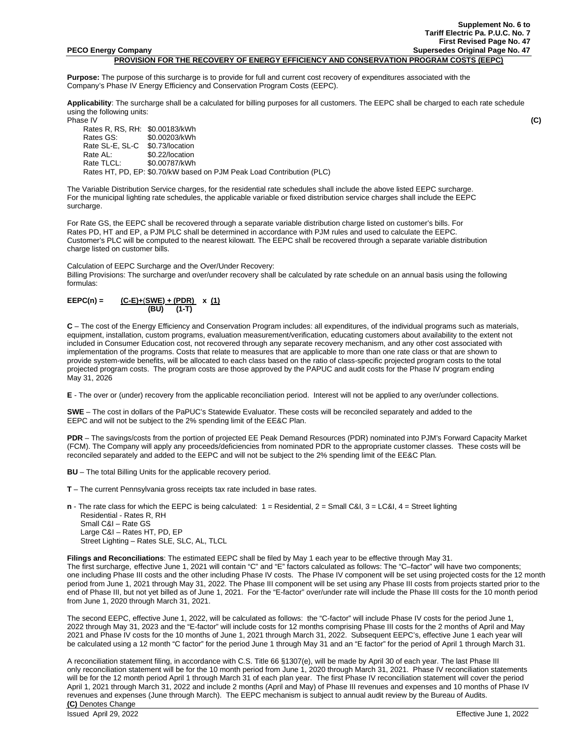**PROVISION FOR THE RECOVERY OF ENERGY EFFICIENCY AND CONSERVATION PROGRAM COSTS (EEPC)**

**Purpose:** The purpose of this surcharge is to provide for full and current cost recovery of expenditures associated with the Company's Phase IV Energy Efficiency and Conservation Program Costs (EEPC).

**Applicability**: The surcharge shall be a calculated for billing purposes for all customers. The EEPC shall be charged to each rate schedule using the following units:<br>Phase IV

Phase IV **(C)**

Rates R, RS, RH: \$0.00183/kWh<br>Rates GS: \$0.00203/kWh \$0.00203/kWh<br>\$0.73/location Rate SL-E, SL-C<br>Rate AL: Rate AL:<br>Rate TLCL: \$0.00787/kWh  $$0.00787/kWh$ Rates HT, PD, EP: \$0.70/kW based on PJM Peak Load Contribution (PLC)

The Variable Distribution Service charges, for the residential rate schedules shall include the above listed EEPC surcharge. For the municipal lighting rate schedules, the applicable variable or fixed distribution service charges shall include the EEPC surcharge.

For Rate GS, the EEPC shall be recovered through a separate variable distribution charge listed on customer's bills. For Rates PD, HT and EP, a PJM PLC shall be determined in accordance with PJM rules and used to calculate the EEPC. Customer's PLC will be computed to the nearest kilowatt. The EEPC shall be recovered through a separate variable distribution charge listed on customer bills.

Calculation of EEPC Surcharge and the Over/Under Recovery:

Billing Provisions: The surcharge and over/under recovery shall be calculated by rate schedule on an annual basis using the following formulas:

## **EEPC(n) = (C-E)+**(**SWE) + (PDR) x (1) (BU) (1-T)**

**C** – The cost of the Energy Efficiency and Conservation Program includes: all expenditures, of the individual programs such as materials, equipment, installation, custom programs, evaluation measurement/verification, educating customers about availability to the extent not included in Consumer Education cost, not recovered through any separate recovery mechanism, and any other cost associated with implementation of the programs. Costs that relate to measures that are applicable to more than one rate class or that are shown to provide system-wide benefits, will be allocated to each class based on the ratio of class-specific projected program costs to the total projected program costs. The program costs are those approved by the PAPUC and audit costs for the Phase IV program ending May 31, 2026

**E** - The over or (under) recovery from the applicable reconciliation period. Interest will not be applied to any over/under collections.

**SWE** – The cost in dollars of the PaPUC's Statewide Evaluator. These costs will be reconciled separately and added to the EEPC and will not be subject to the 2% spending limit of the EE&C Plan.

**PDR** – The savings/costs from the portion of projected EE Peak Demand Resources (PDR) nominated into PJM's Forward Capacity Market (FCM). The Company will apply any proceeds/deficiencies from nominated PDR to the appropriate customer classes. These costs will be reconciled separately and added to the EEPC and will not be subject to the 2% spending limit of the EE&C Plan*.*

**BU** – The total Billing Units for the applicable recovery period.

**T** – The current Pennsylvania gross receipts tax rate included in base rates.

**n** - The rate class for which the EEPC is being calculated:  $1 =$  Residential,  $2 =$  Small C&I,  $3 =$  LC&I,  $4 =$  Street lighting Residential - Rates R, RH Small C&I – Rate GS Large C&I – Rates HT, PD, EP Street Lighting – Rates SLE, SLC, AL, TLCL

**Filings and Reconciliations**: The estimated EEPC shall be filed by May 1 each year to be effective through May 31.

The first surcharge, effective June 1, 2021 will contain "C" and "E" factors calculated as follows: The "C–factor" will have two components; one including Phase III costs and the other including Phase IV costs. The Phase IV component will be set using projected costs for the 12 month period from June 1, 2021 through May 31, 2022. The Phase III component will be set using any Phase III costs from projects started prior to the end of Phase III, but not yet billed as of June 1, 2021. For the "E-factor" over/under rate will include the Phase III costs for the 10 month period from June 1, 2020 through March 31, 2021.

The second EEPC, effective June 1, 2022, will be calculated as follows: the "C-factor" will include Phase IV costs for the period June 1, 2022 through May 31, 2023 and the "E-factor" will include costs for 12 months comprising Phase III costs for the 2 months of April and May 2021 and Phase IV costs for the 10 months of June 1, 2021 through March 31, 2022. Subsequent EEPC's, effective June 1 each year will be calculated using a 12 month "C factor" for the period June 1 through May 31 and an "E factor" for the period of April 1 through March 31.

A reconciliation statement filing, in accordance with C.S. Title 66 §1307(e), will be made by April 30 of each year. The last Phase III only reconciliation statement will be for the 10 month period from June 1, 2020 through March 31, 2021. Phase IV reconciliation statements will be for the 12 month period April 1 through March 31 of each plan year. The first Phase IV reconciliation statement will cover the period April 1, 2021 through March 31, 2022 and include 2 months (April and May) of Phase III revenues and expenses and 10 months of Phase IV revenues and expenses (June through March). The EEPC mechanism is subject to annual audit review by the Bureau of Audits. **(C)** Denotes Change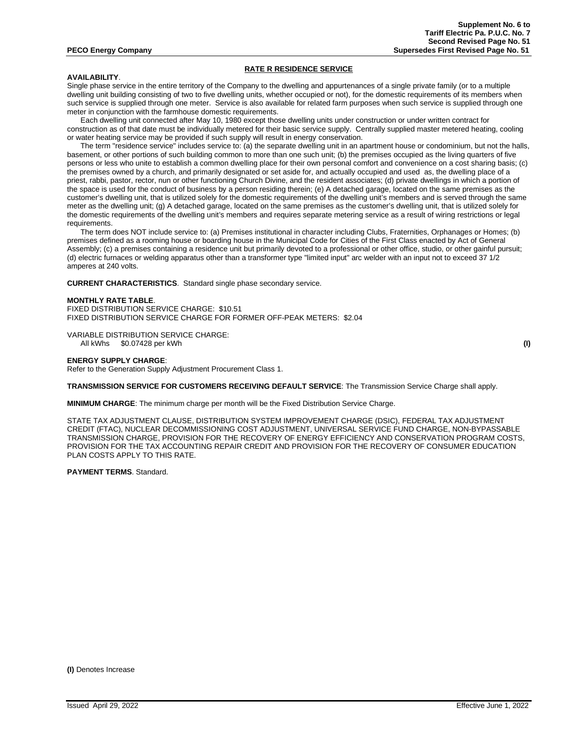### **RATE R RESIDENCE SERVICE**

## **AVAILABILITY**.

Single phase service in the entire territory of the Company to the dwelling and appurtenances of a single private family (or to a multiple dwelling unit building consisting of two to five dwelling units, whether occupied or not), for the domestic requirements of its members when such service is supplied through one meter. Service is also available for related farm purposes when such service is supplied through one meter in conjunction with the farmhouse domestic requirements.

Each dwelling unit connected after May 10, 1980 except those dwelling units under construction or under written contract for construction as of that date must be individually metered for their basic service supply. Centrally supplied master metered heating, cooling or water heating service may be provided if such supply will result in energy conservation.

The term "residence service" includes service to: (a) the separate dwelling unit in an apartment house or condominium, but not the halls, basement, or other portions of such building common to more than one such unit; (b) the premises occupied as the living quarters of five persons or less who unite to establish a common dwelling place for their own personal comfort and convenience on a cost sharing basis; (c) the premises owned by a church, and primarily designated or set aside for, and actually occupied and used as, the dwelling place of a priest, rabbi, pastor, rector, nun or other functioning Church Divine, and the resident associates; (d) private dwellings in which a portion of the space is used for the conduct of business by a person residing therein; (e) A detached garage, located on the same premises as the customer's dwelling unit, that is utilized solely for the domestic requirements of the dwelling unit's members and is served through the same meter as the dwelling unit; (g) A detached garage, located on the same premises as the customer's dwelling unit, that is utilized solely for the domestic requirements of the dwelling unit's members and requires separate metering service as a result of wiring restrictions or legal requirements.

The term does NOT include service to: (a) Premises institutional in character including Clubs, Fraternities, Orphanages or Homes; (b) premises defined as a rooming house or boarding house in the Municipal Code for Cities of the First Class enacted by Act of General Assembly; (c) a premises containing a residence unit but primarily devoted to a professional or other office, studio, or other gainful pursuit; (d) electric furnaces or welding apparatus other than a transformer type "limited input" arc welder with an input not to exceed 37 1/2 amperes at 240 volts.

**CURRENT CHARACTERISTICS**. Standard single phase secondary service.

#### **MONTHLY RATE TABLE**.

FIXED DISTRIBUTION SERVICE CHARGE: \$10.51 FIXED DISTRIBUTION SERVICE CHARGE FOR FORMER OFF-PEAK METERS: \$2.04

VARIABLE DISTRIBUTION SERVICE CHARGE: All kWhs \$0.07428 per kWh **(I)**

## **ENERGY SUPPLY CHARGE**:

Refer to the Generation Supply Adjustment Procurement Class 1.

**TRANSMISSION SERVICE FOR CUSTOMERS RECEIVING DEFAULT SERVICE**: The Transmission Service Charge shall apply.

**MINIMUM CHARGE**: The minimum charge per month will be the Fixed Distribution Service Charge.

STATE TAX ADJUSTMENT CLAUSE, DISTRIBUTION SYSTEM IMPROVEMENT CHARGE (DSIC), FEDERAL TAX ADJUSTMENT CREDIT (FTAC), NUCLEAR DECOMMISSIONING COST ADJUSTMENT, UNIVERSAL SERVICE FUND CHARGE, NON-BYPASSABLE TRANSMISSION CHARGE, PROVISION FOR THE RECOVERY OF ENERGY EFFICIENCY AND CONSERVATION PROGRAM COSTS, PROVISION FOR THE TAX ACCOUNTING REPAIR CREDIT AND PROVISION FOR THE RECOVERY OF CONSUMER EDUCATION PLAN COSTS APPLY TO THIS RATE.

**PAYMENT TERMS**. Standard.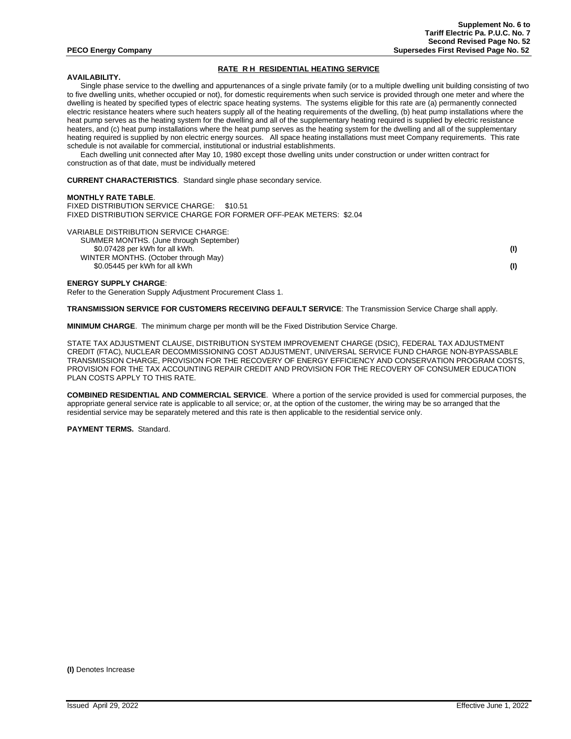## **RATE R H RESIDENTIAL HEATING SERVICE**

## **AVAILABILITY.**

Single phase service to the dwelling and appurtenances of a single private family (or to a multiple dwelling unit building consisting of two to five dwelling units, whether occupied or not), for domestic requirements when such service is provided through one meter and where the dwelling is heated by specified types of electric space heating systems. The systems eligible for this rate are (a) permanently connected electric resistance heaters where such heaters supply all of the heating requirements of the dwelling, (b) heat pump installations where the heat pump serves as the heating system for the dwelling and all of the supplementary heating required is supplied by electric resistance heaters, and (c) heat pump installations where the heat pump serves as the heating system for the dwelling and all of the supplementary heating required is supplied by non electric energy sources. All space heating installations must meet Company requirements. This rate schedule is not available for commercial, institutional or industrial establishments.

Each dwelling unit connected after May 10, 1980 except those dwelling units under construction or under written contract for construction as of that date, must be individually metered

**CURRENT CHARACTERISTICS**. Standard single phase secondary service.

### **MONTHLY RATE TABLE**.

FIXED DISTRIBUTION SERVICE CHARGE: \$10.51 FIXED DISTRIBUTION SERVICE CHARGE FOR FORMER OFF-PEAK METERS: \$2.04

VARIABLE DISTRIBUTION SERVICE CHARGE:

SUMMER MONTHS. (June through September) \$0.07428 per kWh for all kWh. **(I)** WINTER MONTHS. (October through May)

\$0.05445 per kWh for all kWh **(I)**

**ENERGY SUPPLY CHARGE**:

Refer to the Generation Supply Adjustment Procurement Class 1.

**TRANSMISSION SERVICE FOR CUSTOMERS RECEIVING DEFAULT SERVICE**: The Transmission Service Charge shall apply.

**MINIMUM CHARGE**. The minimum charge per month will be the Fixed Distribution Service Charge.

STATE TAX ADJUSTMENT CLAUSE, DISTRIBUTION SYSTEM IMPROVEMENT CHARGE (DSIC), FEDERAL TAX ADJUSTMENT CREDIT (FTAC), NUCLEAR DECOMMISSIONING COST ADJUSTMENT, UNIVERSAL SERVICE FUND CHARGE NON-BYPASSABLE TRANSMISSION CHARGE, PROVISION FOR THE RECOVERY OF ENERGY EFFICIENCY AND CONSERVATION PROGRAM COSTS, PROVISION FOR THE TAX ACCOUNTING REPAIR CREDIT AND PROVISION FOR THE RECOVERY OF CONSUMER EDUCATION PLAN COSTS APPLY TO THIS RATE.

**COMBINED RESIDENTIAL AND COMMERCIAL SERVICE**. Where a portion of the service provided is used for commercial purposes, the appropriate general service rate is applicable to all service; or, at the option of the customer, the wiring may be so arranged that the residential service may be separately metered and this rate is then applicable to the residential service only.

**PAYMENT TERMS.** Standard.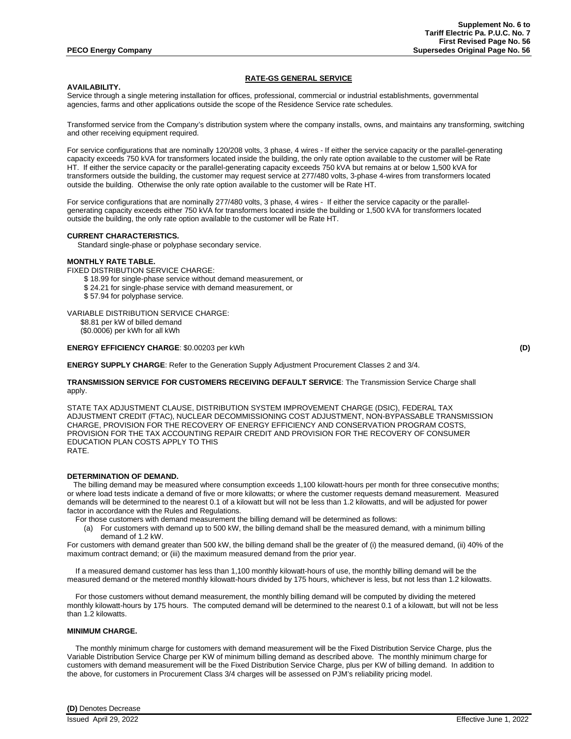## **RATE-GS GENERAL SERVICE**

## **AVAILABILITY.**

Service through a single metering installation for offices, professional, commercial or industrial establishments, governmental agencies, farms and other applications outside the scope of the Residence Service rate schedules.

Transformed service from the Company's distribution system where the company installs, owns, and maintains any transforming, switching and other receiving equipment required.

For service configurations that are nominally 120/208 volts, 3 phase, 4 wires - If either the service capacity or the parallel-generating capacity exceeds 750 kVA for transformers located inside the building, the only rate option available to the customer will be Rate HT. If either the service capacity or the parallel-generating capacity exceeds 750 kVA but remains at or below 1,500 kVA for transformers outside the building, the customer may request service at 277/480 volts, 3-phase 4-wires from transformers located outside the building. Otherwise the only rate option available to the customer will be Rate HT.

For service configurations that are nominally 277/480 volts, 3 phase, 4 wires - If either the service capacity or the parallelgenerating capacity exceeds either 750 kVA for transformers located inside the building or 1,500 kVA for transformers located outside the building, the only rate option available to the customer will be Rate HT.

## **CURRENT CHARACTERISTICS.**

Standard single-phase or polyphase secondary service.

## **MONTHLY RATE TABLE.**

FIXED DISTRIBUTION SERVICE CHARGE:

\$ 18.99 for single-phase service without demand measurement, or

- \$ 24.21 for single-phase service with demand measurement, or
- \$ 57.94 for polyphase service.

VARIABLE DISTRIBUTION SERVICE CHARGE:

\$8.81 per kW of billed demand (\$0.0006) per kWh for all kWh

## **ENERGY EFFICIENCY CHARGE**: \$0.00203 per kWh **(D)**

**ENERGY SUPPLY CHARGE**: Refer to the Generation Supply Adjustment Procurement Classes 2 and 3/4.

## **TRANSMISSION SERVICE FOR CUSTOMERS RECEIVING DEFAULT SERVICE**: The Transmission Service Charge shall apply.

STATE TAX ADJUSTMENT CLAUSE, DISTRIBUTION SYSTEM IMPROVEMENT CHARGE (DSIC), FEDERAL TAX ADJUSTMENT CREDIT (FTAC), NUCLEAR DECOMMISSIONING COST ADJUSTMENT, NON-BYPASSABLE TRANSMISSION CHARGE, PROVISION FOR THE RECOVERY OF ENERGY EFFICIENCY AND CONSERVATION PROGRAM COSTS, PROVISION FOR THE TAX ACCOUNTING REPAIR CREDIT AND PROVISION FOR THE RECOVERY OF CONSUMER EDUCATION PLAN COSTS APPLY TO THIS RATE.

## **DETERMINATION OF DEMAND.**

 The billing demand may be measured where consumption exceeds 1,100 kilowatt-hours per month for three consecutive months; or where load tests indicate a demand of five or more kilowatts; or where the customer requests demand measurement. Measured demands will be determined to the nearest 0.1 of a kilowatt but will not be less than 1.2 kilowatts, and will be adjusted for power factor in accordance with the Rules and Regulations.

For those customers with demand measurement the billing demand will be determined as follows:

(a) For customers with demand up to 500 kW, the billing demand shall be the measured demand, with a minimum billing demand of 1.2 kW.

For customers with demand greater than 500 kW, the billing demand shall be the greater of (i) the measured demand, (ii) 40% of the maximum contract demand; or (iii) the maximum measured demand from the prior year.

If a measured demand customer has less than 1,100 monthly kilowatt-hours of use, the monthly billing demand will be the measured demand or the metered monthly kilowatt-hours divided by 175 hours, whichever is less, but not less than 1.2 kilowatts.

 For those customers without demand measurement, the monthly billing demand will be computed by dividing the metered monthly kilowatt-hours by 175 hours. The computed demand will be determined to the nearest 0.1 of a kilowatt, but will not be less than 1.2 kilowatts.

## **MINIMUM CHARGE.**

The monthly minimum charge for customers with demand measurement will be the Fixed Distribution Service Charge, plus the Variable Distribution Service Charge per KW of minimum billing demand as described above. The monthly minimum charge for customers with demand measurement will be the Fixed Distribution Service Charge, plus per KW of billing demand. In addition to the above, for customers in Procurement Class 3/4 charges will be assessed on PJM's reliability pricing model.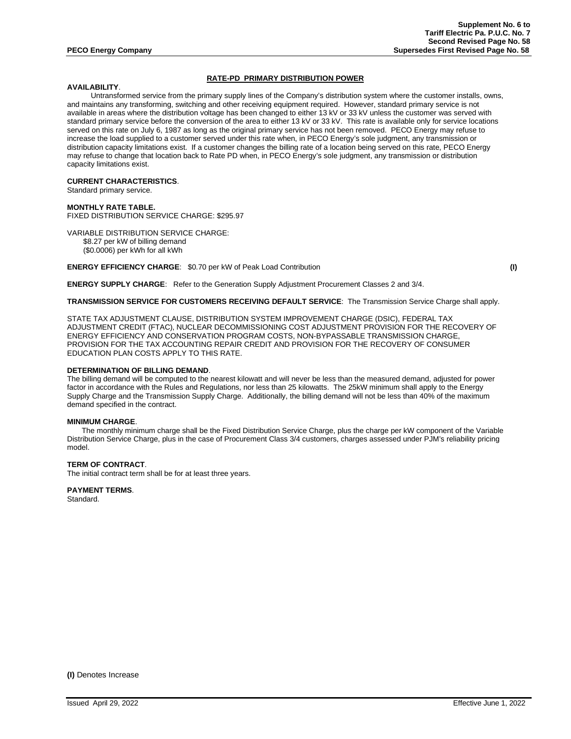## **RATE-PD PRIMARY DISTRIBUTION POWER**

## **AVAILABILITY**.

Untransformed service from the primary supply lines of the Company's distribution system where the customer installs, owns, and maintains any transforming, switching and other receiving equipment required. However, standard primary service is not available in areas where the distribution voltage has been changed to either 13 kV or 33 kV unless the customer was served with standard primary service before the conversion of the area to either 13 kV or 33 kV. This rate is available only for service locations served on this rate on July 6, 1987 as long as the original primary service has not been removed. PECO Energy may refuse to increase the load supplied to a customer served under this rate when, in PECO Energy's sole judgment, any transmission or distribution capacity limitations exist. If a customer changes the billing rate of a location being served on this rate, PECO Energy may refuse to change that location back to Rate PD when, in PECO Energy's sole judgment, any transmission or distribution capacity limitations exist.

#### **CURRENT CHARACTERISTICS**.

Standard primary service.

#### **MONTHLY RATE TABLE.**

FIXED DISTRIBUTION SERVICE CHARGE: \$295.97

VARIABLE DISTRIBUTION SERVICE CHARGE: \$8.27 per kW of billing demand (\$0.0006) per kWh for all kWh

**ENERGY EFFICIENCY CHARGE**: \$0.70 per kW of Peak Load Contribution **(I)**

**ENERGY SUPPLY CHARGE**: Refer to the Generation Supply Adjustment Procurement Classes 2 and 3/4.

**TRANSMISSION SERVICE FOR CUSTOMERS RECEIVING DEFAULT SERVICE**: The Transmission Service Charge shall apply.

STATE TAX ADJUSTMENT CLAUSE, DISTRIBUTION SYSTEM IMPROVEMENT CHARGE (DSIC), FEDERAL TAX ADJUSTMENT CREDIT (FTAC), NUCLEAR DECOMMISSIONING COST ADJUSTMENT PROVISION FOR THE RECOVERY OF ENERGY EFFICIENCY AND CONSERVATION PROGRAM COSTS, NON-BYPASSABLE TRANSMISSION CHARGE, PROVISION FOR THE TAX ACCOUNTING REPAIR CREDIT AND PROVISION FOR THE RECOVERY OF CONSUMER EDUCATION PLAN COSTS APPLY TO THIS RATE.

## **DETERMINATION OF BILLING DEMAND**.

The billing demand will be computed to the nearest kilowatt and will never be less than the measured demand, adjusted for power factor in accordance with the Rules and Regulations, nor less than 25 kilowatts. The 25kW minimum shall apply to the Energy Supply Charge and the Transmission Supply Charge. Additionally, the billing demand will not be less than 40% of the maximum demand specified in the contract.

## **MINIMUM CHARGE**.

The monthly minimum charge shall be the Fixed Distribution Service Charge, plus the charge per kW component of the Variable Distribution Service Charge, plus in the case of Procurement Class 3/4 customers, charges assessed under PJM's reliability pricing model.

#### **TERM OF CONTRACT**.

The initial contract term shall be for at least three years.

## **PAYMENT TERMS**.

Standard.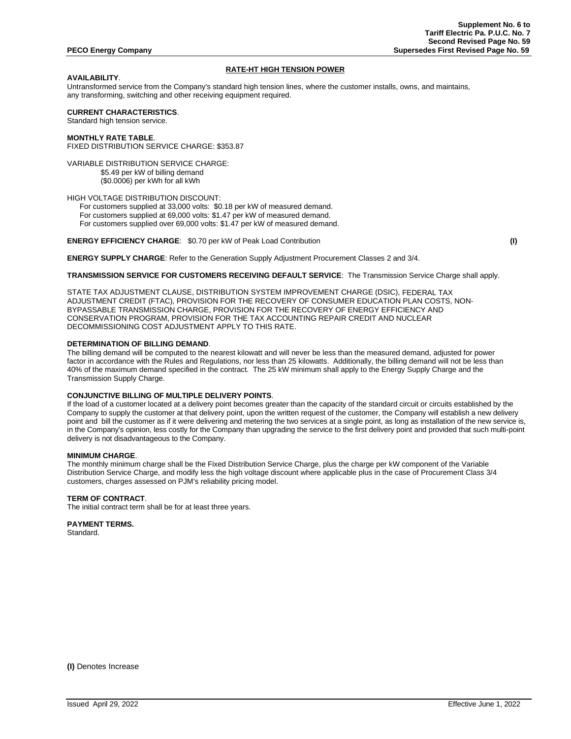## **RATE-HT HIGH TENSION POWER**

## **AVAILABILITY**.

Untransformed service from the Company's standard high tension lines, where the customer installs, owns, and maintains, any transforming, switching and other receiving equipment required.

## **CURRENT CHARACTERISTICS**.

Standard high tension service.

# **MONTHLY RATE TABLE**.

FIXED DISTRIBUTION SERVICE CHARGE: \$353.87

VARIABLE DISTRIBUTION SERVICE CHARGE: \$5.49 per kW of billing demand (\$0.0006) per kWh for all kWh

HIGH VOLTAGE DISTRIBUTION DISCOUNT:

 For customers supplied at 33,000 volts: \$0.18 per kW of measured demand. For customers supplied at 69,000 volts: \$1.47 per kW of measured demand. For customers supplied over 69,000 volts: \$1.47 per kW of measured demand.

**ENERGY EFFICIENCY CHARGE**: \$0.70 per kW of Peak Load Contribution **(I)**

**ENERGY SUPPLY CHARGE**: Refer to the Generation Supply Adjustment Procurement Classes 2 and 3/4.

## **TRANSMISSION SERVICE FOR CUSTOMERS RECEIVING DEFAULT SERVICE**: The Transmission Service Charge shall apply.

STATE TAX ADJUSTMENT CLAUSE, DISTRIBUTION SYSTEM IMPROVEMENT CHARGE (DSIC), FEDERAL TAX ADJUSTMENT CREDIT (FTAC), PROVISION FOR THE RECOVERY OF CONSUMER EDUCATION PLAN COSTS, NON-BYPASSABLE TRANSMISSION CHARGE, PROVISION FOR THE RECOVERY OF ENERGY EFFICIENCY AND CONSERVATION PROGRAM, PROVISION FOR THE TAX ACCOUNTING REPAIR CREDIT AND NUCLEAR DECOMMISSIONING COST ADJUSTMENT APPLY TO THIS RATE.

## **DETERMINATION OF BILLING DEMAND**.

The billing demand will be computed to the nearest kilowatt and will never be less than the measured demand, adjusted for power factor in accordance with the Rules and Regulations, nor less than 25 kilowatts. Additionally, the billing demand will not be less than 40% of the maximum demand specified in the contract. The 25 kW minimum shall apply to the Energy Supply Charge and the Transmission Supply Charge.

## **CONJUNCTIVE BILLING OF MULTIPLE DELIVERY POINTS**.

If the load of a customer located at a delivery point becomes greater than the capacity of the standard circuit or circuits established by the Company to supply the customer at that delivery point, upon the written request of the customer, the Company will establish a new delivery point and bill the customer as if it were delivering and metering the two services at a single point, as long as installation of the new service is, in the Company's opinion, less costly for the Company than upgrading the service to the first delivery point and provided that such multi-point delivery is not disadvantageous to the Company.

## **MINIMUM CHARGE**.

The monthly minimum charge shall be the Fixed Distribution Service Charge, plus the charge per kW component of the Variable Distribution Service Charge, and modify less the high voltage discount where applicable plus in the case of Procurement Class 3/4 customers, charges assessed on PJM's reliability pricing model.

## **TERM OF CONTRACT**.

The initial contract term shall be for at least three years.

# **PAYMENT TERMS.**

Standard.

**(I)** Denotes Increase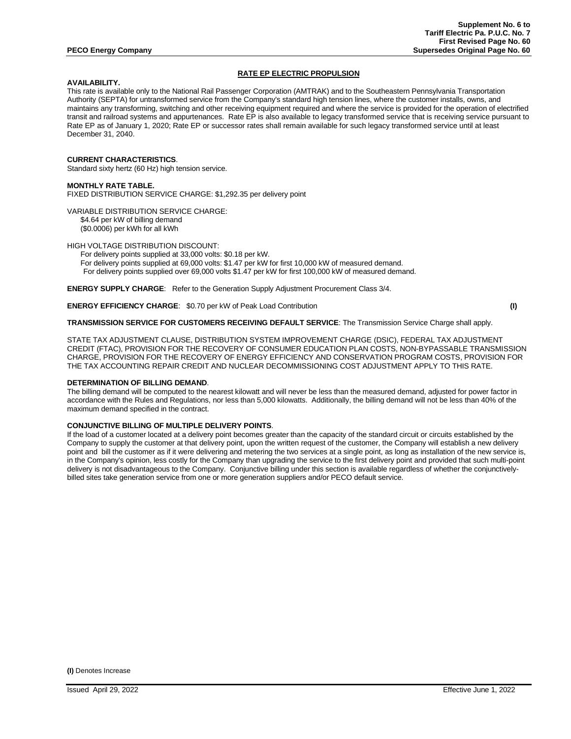## **RATE EP ELECTRIC PROPULSION**

## **AVAILABILITY.**

This rate is available only to the National Rail Passenger Corporation (AMTRAK) and to the Southeastern Pennsylvania Transportation Authority (SEPTA) for untransformed service from the Company's standard high tension lines, where the customer installs, owns, and maintains any transforming, switching and other receiving equipment required and where the service is provided for the operation of electrified transit and railroad systems and appurtenances. Rate EP is also available to legacy transformed service that is receiving service pursuant to Rate EP as of January 1, 2020; Rate EP or successor rates shall remain available for such legacy transformed service until at least December 31, 2040.

## **CURRENT CHARACTERISTICS**.

Standard sixty hertz (60 Hz) high tension service.

## **MONTHLY RATE TABLE.**

FIXED DISTRIBUTION SERVICE CHARGE: \$1,292.35 per delivery point

VARIABLE DISTRIBUTION SERVICE CHARGE: \$4.64 per kW of billing demand (\$0.0006) per kWh for all kWh

HIGH VOLTAGE DISTRIBUTION DISCOUNT:

For delivery points supplied at 33,000 volts: \$0.18 per kW. For delivery points supplied at 69,000 volts: \$1.47 per kW for first 10,000 kW of measured demand. For delivery points supplied over 69,000 volts \$1.47 per kW for first 100,000 kW of measured demand.

**ENERGY SUPPLY CHARGE**: Refer to the Generation Supply Adjustment Procurement Class 3/4.

**ENERGY EFFICIENCY CHARGE**: \$0.70 per kW of Peak Load Contribution **(I)**

## **TRANSMISSION SERVICE FOR CUSTOMERS RECEIVING DEFAULT SERVICE**: The Transmission Service Charge shall apply.

STATE TAX ADJUSTMENT CLAUSE, DISTRIBUTION SYSTEM IMPROVEMENT CHARGE (DSIC), FEDERAL TAX ADJUSTMENT CREDIT (FTAC), PROVISION FOR THE RECOVERY OF CONSUMER EDUCATION PLAN COSTS, NON-BYPASSABLE TRANSMISSION CHARGE, PROVISION FOR THE RECOVERY OF ENERGY EFFICIENCY AND CONSERVATION PROGRAM COSTS, PROVISION FOR THE TAX ACCOUNTING REPAIR CREDIT AND NUCLEAR DECOMMISSIONING COST ADJUSTMENT APPLY TO THIS RATE.

## **DETERMINATION OF BILLING DEMAND**.

The billing demand will be computed to the nearest kilowatt and will never be less than the measured demand, adjusted for power factor in accordance with the Rules and Regulations, nor less than 5,000 kilowatts. Additionally, the billing demand will not be less than 40% of the maximum demand specified in the contract.

## **CONJUNCTIVE BILLING OF MULTIPLE DELIVERY POINTS**.

If the load of a customer located at a delivery point becomes greater than the capacity of the standard circuit or circuits established by the Company to supply the customer at that delivery point, upon the written request of the customer, the Company will establish a new delivery point and bill the customer as if it were delivering and metering the two services at a single point, as long as installation of the new service is, in the Company's opinion, less costly for the Company than upgrading the service to the first delivery point and provided that such multi-point delivery is not disadvantageous to the Company. Conjunctive billing under this section is available regardless of whether the conjunctivelybilled sites take generation service from one or more generation suppliers and/or PECO default service.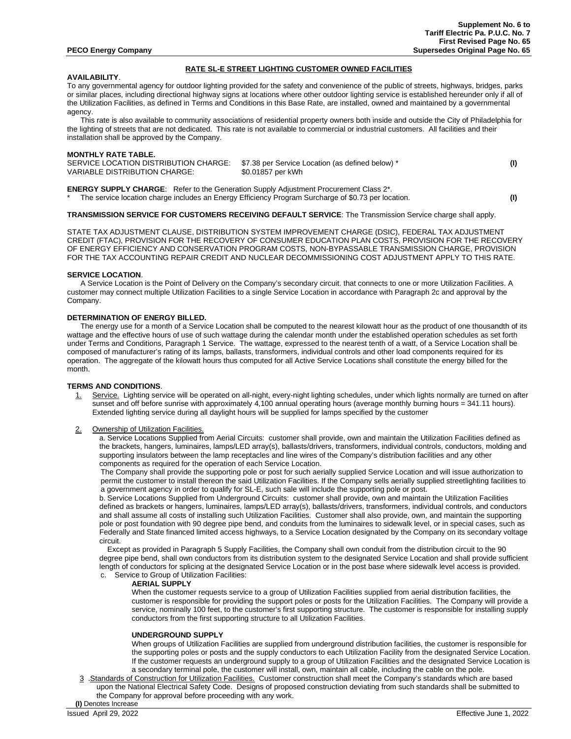#### **RATE SL-E STREET LIGHTING CUSTOMER OWNED FACILITIES**

## **AVAILABILITY**.

To any governmental agency for outdoor lighting provided for the safety and convenience of the public of streets, highways, bridges, parks or similar places, including directional highway signs at locations where other outdoor lighting service is established hereunder only if all of the Utilization Facilities, as defined in Terms and Conditions in this Base Rate, are installed, owned and maintained by a governmental agency.

 This rate is also available to community associations of residential property owners both inside and outside the City of Philadelphia for the lighting of streets that are not dedicated. This rate is not available to commercial or industrial customers. All facilities and their installation shall be approved by the Company.

## **MONTHLY RATE TABLE.**

| SERVICE LOCATION DISTRIBUTION CHARGE: \$7.38 per Service Location (as defined below) *<br>VARIABLE DISTRIBUTION CHARGE: | \$0.01857 per kWh |  |
|-------------------------------------------------------------------------------------------------------------------------|-------------------|--|
|                                                                                                                         |                   |  |

**ENERGY SUPPLY CHARGE**: Refer to the Generation Supply Adjustment Procurement Class 2\*. \* The service location charge includes an Energy Efficiency Program Surcharge of \$0.73 per location. **(I)**

### **TRANSMISSION SERVICE FOR CUSTOMERS RECEIVING DEFAULT SERVICE**: The Transmission Service charge shall apply.

STATE TAX ADJUSTMENT CLAUSE, DISTRIBUTION SYSTEM IMPROVEMENT CHARGE (DSIC), FEDERAL TAX ADJUSTMENT CREDIT (FTAC), PROVISION FOR THE RECOVERY OF CONSUMER EDUCATION PLAN COSTS, PROVISION FOR THE RECOVERY OF ENERGY EFFICIENCY AND CONSERVATION PROGRAM COSTS, NON-BYPASSABLE TRANSMISSION CHARGE, PROVISION FOR THE TAX ACCOUNTING REPAIR CREDIT AND NUCLEAR DECOMMISSIONING COST ADJUSTMENT APPLY TO THIS RATE.

#### **SERVICE LOCATION**.

A Service Location is the Point of Delivery on the Company's secondary circuit. that connects to one or more Utilization Facilities. A customer may connect multiple Utilization Facilities to a single Service Location in accordance with Paragraph 2c and approval by the Company.

## **DETERMINATION OF ENERGY BILLED.**

The energy use for a month of a Service Location shall be computed to the nearest kilowatt hour as the product of one thousandth of its wattage and the effective hours of use of such wattage during the calendar month under the established operation schedules as set forth under Terms and Conditions, Paragraph 1 Service. The wattage, expressed to the nearest tenth of a watt, of a Service Location shall be composed of manufacturer's rating of its lamps, ballasts, transformers, individual controls and other load components required for its operation. The aggregate of the kilowatt hours thus computed for all Active Service Locations shall constitute the energy billed for the month.

## **TERMS AND CONDITIONS**.

- 1. Service. Lighting service will be operated on all-night, every-night lighting schedules, under which lights normally are turned on after sunset and off before sunrise with approximately 4,100 annual operating hours (average monthly burning hours = 341.11 hours). Extended lighting service during all daylight hours will be supplied for lamps specified by the customer
- 2. Ownership of Utilization Facilities.

a. Service Locations Supplied from Aerial Circuits: customer shall provide, own and maintain the Utilization Facilities defined as the brackets, hangers, luminaires, lamps/LED array(s), ballasts/drivers, transformers, individual controls, conductors, molding and supporting insulators between the lamp receptacles and line wires of the Company's distribution facilities and any other components as required for the operation of each Service Location.

The Company shall provide the supporting pole or post for such aerially supplied Service Location and will issue authorization to permit the customer to install thereon the said Utilization Facilities. If the Company sells aerially supplied streetlighting facilities to a government agency in order to qualify for SL-E, such sale will include the supporting pole or post.

b. Service Locations Supplied from Underground Circuits: customer shall provide, own and maintain the Utilization Facilities defined as brackets or hangers, luminaires, lamps/LED array(s), ballasts/drivers, transformers, individual controls, and conductors and shall assume all costs of installing such Utilization Facilities. Customer shall also provide, own, and maintain the supporting pole or post foundation with 90 degree pipe bend, and conduits from the luminaires to sidewalk level, or in special cases, such as Federally and State financed limited access highways, to a Service Location designated by the Company on its secondary voltage circuit.

Except as provided in Paragraph 5 Supply Facilities, the Company shall own conduit from the distribution circuit to the 90 degree pipe bend, shall own conductors from its distribution system to the designated Service Location and shall provide sufficient length of conductors for splicing at the designated Service Location or in the post base where sidewalk level access is provided. c. Service to Group of Utilization Facilities:

#### **AERIAL SUPPLY**

When the customer requests service to a group of Utilization Facilities supplied from aerial distribution facilities, the customer is responsible for providing the support poles or posts for the Utilization Facilities. The Company will provide a service, nominally 100 feet, to the customer's first supporting structure. The customer is responsible for installing supply conductors from the first supporting structure to all Utilization Facilities.

## **UNDERGROUND SUPPLY**

When groups of Utilization Facilities are supplied from underground distribution facilities, the customer is responsible for the supporting poles or posts and the supply conductors to each Utilization Facility from the designated Service Location. If the customer requests an underground supply to a group of Utilization Facilities and the designated Service Location is a secondary terminal pole, the customer will install, own, maintain all cable, including the cable on the pole.

3 .Standards of Construction for Utilization Facilities. Customer construction shall meet the Company's standards which are based upon the National Electrical Safety Code. Designs of proposed construction deviating from such standards shall be submitted to the Company for approval before proceeding with any work. **(I)** Denotes Increase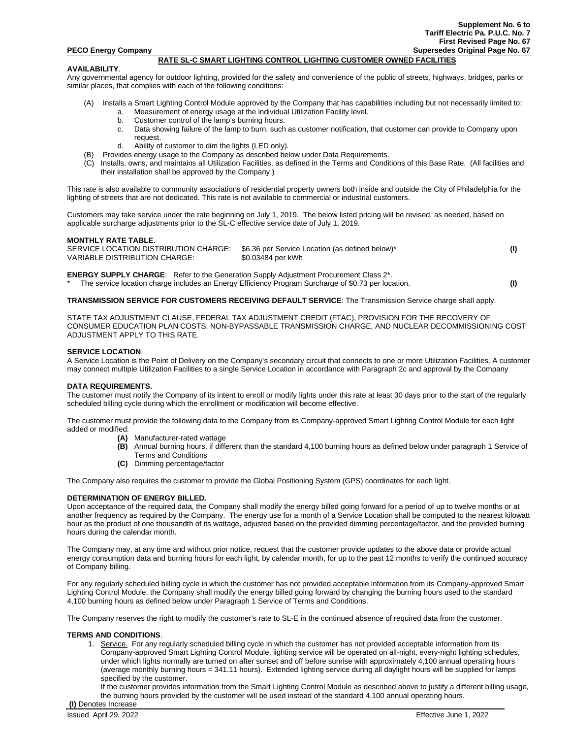## **RATE SL-C SMART LIGHTING CONTROL LIGHTING CUSTOMER OWNED FACILITIES**

### **AVAILABILITY**.

Any governmental agency for outdoor lighting, provided for the safety and convenience of the public of streets, highways, bridges, parks or similar places, that complies with each of the following conditions:

- (A) Installs a Smart Lighting Control Module approved by the Company that has capabilities including but not necessarily limited to:
	- a. Measurement of energy usage at the individual Utilization Facility level.
	- b. Customer control of the lamp's burning hours.
	- c. Data showing failure of the lamp to burn, such as customer notification, that customer can provide to Company upon request.
	- d. Ability of customer to dim the lights (LED only).
- (B) Provides energy usage to the Company as described below under Data Requirements.
- (C) Installs, owns, and maintains all Utilization Facilities, as defined in the Terms and Conditions of this Base Rate. (All facilities and their installation shall be approved by the Company.)

This rate is also available to community associations of residential property owners both inside and outside the City of Philadelphia for the lighting of streets that are not dedicated. This rate is not available to commercial or industrial customers.

Customers may take service under the rate beginning on July 1, 2019. The below listed pricing will be revised, as needed, based on applicable surcharge adjustments prior to the SL-C effective service date of July 1, 2019.

## **MONTHLY RATE TABLE.**

| SERVICE LOCATION DISTRIBUTION CHARGE: | \$6.36 per Service Location (as defined below)* |  |
|---------------------------------------|-------------------------------------------------|--|
| VARIABLE DISTRIBUTION CHARGE:         | \$0.03484 per kWh                               |  |

**ENERGY SUPPLY CHARGE**: Refer to the Generation Supply Adjustment Procurement Class 2\*. \* The service location charge includes an Energy Efficiency Program Surcharge of \$0.73 per location. **(I)**

**TRANSMISSION SERVICE FOR CUSTOMERS RECEIVING DEFAULT SERVICE**: The Transmission Service charge shall apply.

STATE TAX ADJUSTMENT CLAUSE, FEDERAL TAX ADJUSTMENT CREDIT (FTAC), PROVISION FOR THE RECOVERY OF CONSUMER EDUCATION PLAN COSTS, NON-BYPASSABLE TRANSMISSION CHARGE, AND NUCLEAR DECOMMISSIONING COST ADJUSTMENT APPLY TO THIS RATE.

## **SERVICE LOCATION**.

A Service Location is the Point of Delivery on the Company's secondary circuit that connects to one or more Utilization Facilities. A customer may connect multiple Utilization Facilities to a single Service Location in accordance with Paragraph 2c and approval by the Company

## **DATA REQUIREMENTS.**

The customer must notify the Company of its intent to enroll or modify lights under this rate at least 30 days prior to the start of the regularly scheduled billing cycle during which the enrollment or modification will become effective.

The customer must provide the following data to the Company from its Company-approved Smart Lighting Control Module for each light added or modified:

- 
- **(A)** Manufacturer-rated wattage **(B)** Annual burning hours, if different than the standard 4,100 burning hours as defined below under paragraph 1 Service of Terms and Conditions
- **(C)** Dimming percentage/factor

The Company also requires the customer to provide the Global Positioning System (GPS) coordinates for each light.

## **DETERMINATION OF ENERGY BILLED.**

Upon acceptance of the required data, the Company shall modify the energy billed going forward for a period of up to twelve months or at another frequency as required by the Company. The energy use for a month of a Service Location shall be computed to the nearest kilowatt hour as the product of one thousandth of its wattage, adjusted based on the provided dimming percentage/factor, and the provided burning hours during the calendar month.

The Company may, at any time and without prior notice, request that the customer provide updates to the above data or provide actual energy consumption data and burning hours for each light, by calendar month, for up to the past 12 months to verify the continued accuracy of Company billing.

For any regularly scheduled billing cycle in which the customer has not provided acceptable information from its Company-approved Smart Lighting Control Module, the Company shall modify the energy billed going forward by changing the burning hours used to the standard 4,100 burning hours as defined below under Paragraph 1 Service of Terms and Conditions.

The Company reserves the right to modify the customer's rate to SL-E in the continued absence of required data from the customer.

## **TERMS AND CONDITIONS**.

1. Service. For any regularly scheduled billing cycle in which the customer has not provided acceptable information from its Company-approved Smart Lighting Control Module, lighting service will be operated on all-night, every-night lighting schedules, under which lights normally are turned on after sunset and off before sunrise with approximately 4,100 annual operating hours (average monthly burning hours = 341.11 hours). Extended lighting service during all daylight hours will be supplied for lamps specified by the customer.

If the customer provides information from the Smart Lighting Control Module as described above to justify a different billing usage, the burning hours provided by the customer will be used instead of the standard 4,100 annual operating hours. **(I)** Denotes Increase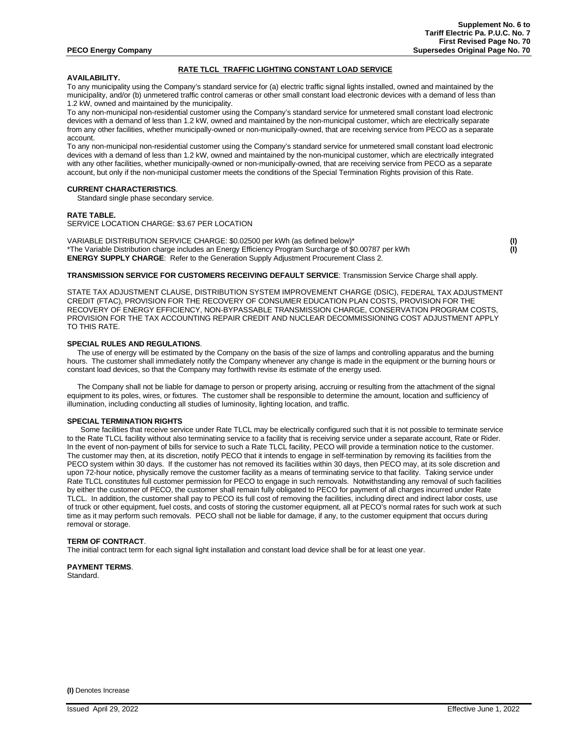## **RATE TLCL TRAFFIC LIGHTING CONSTANT LOAD SERVICE**

### **AVAILABILITY.**

To any municipality using the Company's standard service for (a) electric traffic signal lights installed, owned and maintained by the municipality, and/or (b) unmetered traffic control cameras or other small constant load electronic devices with a demand of less than 1.2 kW, owned and maintained by the municipality.

To any non-municipal non-residential customer using the Company's standard service for unmetered small constant load electronic devices with a demand of less than 1.2 kW, owned and maintained by the non-municipal customer, which are electrically separate from any other facilities, whether municipally-owned or non-municipally-owned, that are receiving service from PECO as a separate account.

To any non-municipal non-residential customer using the Company's standard service for unmetered small constant load electronic devices with a demand of less than 1.2 kW, owned and maintained by the non-municipal customer, which are electrically integrated with any other facilities, whether municipally-owned or non-municipally-owned, that are receiving service from PECO as a separate account, but only if the non-municipal customer meets the conditions of the Special Termination Rights provision of this Rate.

## **CURRENT CHARACTERISTICS**.

Standard single phase secondary service.

## **RATE TABLE.**

SERVICE LOCATION CHARGE: \$3.67 PER LOCATION

VARIABLE DISTRIBUTION SERVICE CHARGE: \$0.02500 per kWh (as defined below)\* **(I)** \*The Variable Distribution charge includes an Energy Efficiency Program Surcharge of \$0.00787 per kWh **(I) ENERGY SUPPLY CHARGE**: Refer to the Generation Supply Adjustment Procurement Class 2.

**TRANSMISSION SERVICE FOR CUSTOMERS RECEIVING DEFAULT SERVICE**: Transmission Service Charge shall apply.

STATE TAX ADJUSTMENT CLAUSE, DISTRIBUTION SYSTEM IMPROVEMENT CHARGE (DSIC), FEDERAL TAX ADJUSTMENT CREDIT (FTAC), PROVISION FOR THE RECOVERY OF CONSUMER EDUCATION PLAN COSTS, PROVISION FOR THE RECOVERY OF ENERGY EFFICIENCY, NON-BYPASSABLE TRANSMISSION CHARGE, CONSERVATION PROGRAM COSTS, PROVISION FOR THE TAX ACCOUNTING REPAIR CREDIT AND NUCLEAR DECOMMISSIONING COST ADJUSTMENT APPLY TO THIS RATE.

## **SPECIAL RULES AND REGULATIONS**.

 The use of energy will be estimated by the Company on the basis of the size of lamps and controlling apparatus and the burning hours. The customer shall immediately notify the Company whenever any change is made in the equipment or the burning hours or constant load devices, so that the Company may forthwith revise its estimate of the energy used.

 The Company shall not be liable for damage to person or property arising, accruing or resulting from the attachment of the signal equipment to its poles, wires, or fixtures. The customer shall be responsible to determine the amount, location and sufficiency of illumination, including conducting all studies of luminosity, lighting location, and traffic.

## **SPECIAL TERMINATION RIGHTS**

Some facilities that receive service under Rate TLCL may be electrically configured such that it is not possible to terminate service to the Rate TLCL facility without also terminating service to a facility that is receiving service under a separate account, Rate or Rider. In the event of non-payment of bills for service to such a Rate TLCL facility, PECO will provide a termination notice to the customer. The customer may then, at its discretion, notify PECO that it intends to engage in self-termination by removing its facilities from the PECO system within 30 days. If the customer has not removed its facilities within 30 days, then PECO may, at its sole discretion and upon 72-hour notice, physically remove the customer facility as a means of terminating service to that facility. Taking service under Rate TLCL constitutes full customer permission for PECO to engage in such removals. Notwithstanding any removal of such facilities by either the customer of PECO, the customer shall remain fully obligated to PECO for payment of all charges incurred under Rate TLCL. In addition, the customer shall pay to PECO its full cost of removing the facilities, including direct and indirect labor costs, use of truck or other equipment, fuel costs, and costs of storing the customer equipment, all at PECO's normal rates for such work at such time as it may perform such removals. PECO shall not be liable for damage, if any, to the customer equipment that occurs during removal or storage.

#### **TERM OF CONTRACT**.

The initial contract term for each signal light installation and constant load device shall be for at least one year.

**PAYMENT TERMS**. Standard.